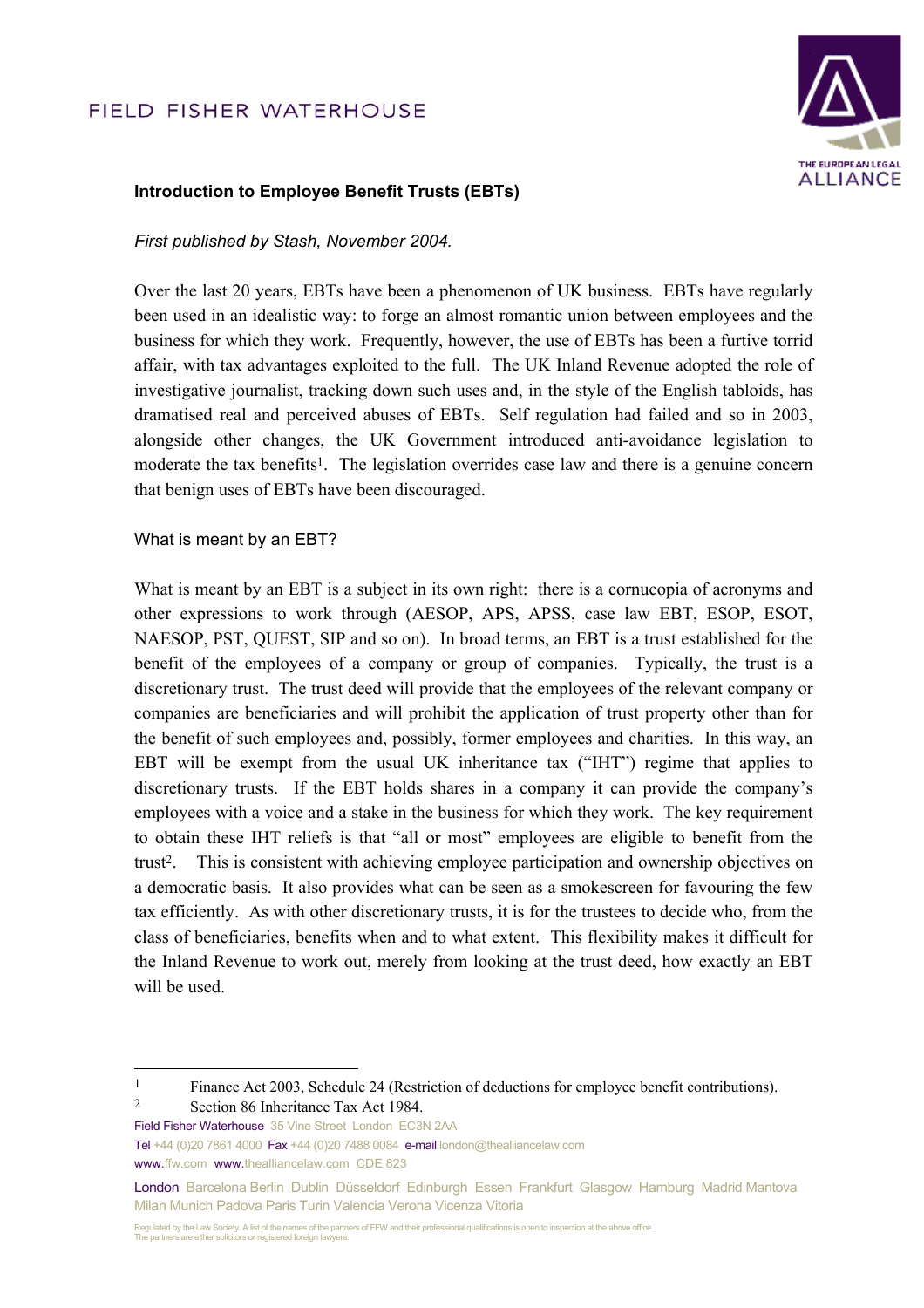# FIELD FISHER WATERHOUSE



### **Introduction to Employee Benefit Trusts (EBTs)**

#### *First published by Stash, November 2004.*

Over the last 20 years, EBTs have been a phenomenon of UK business. EBTs have regularly been used in an idealistic way: to forge an almost romantic union between employees and the business for which they work. Frequently, however, the use of EBTs has been a furtive torrid affair, with tax advantages exploited to the full. The UK Inland Revenue adopted the role of investigative journalist, tracking down such uses and, in the style of the English tabloids, has dramatised real and perceived abuses of EBTs. Self regulation had failed and so in 2003, alongside other changes, the UK Government introduced anti-avoidance legislation to moderate the tax benefits<sup>1</sup>. The legislation overrides case law and there is a genuine concern that benign uses of EBTs have been discouraged.

#### What is meant by an EBT?

What is meant by an EBT is a subject in its own right: there is a cornucopia of acronyms and other expressions to work through (AESOP, APS, APSS, case law EBT, ESOP, ESOT, NAESOP, PST, QUEST, SIP and so on). In broad terms, an EBT is a trust established for the benefit of the employees of a company or group of companies. Typically, the trust is a discretionary trust. The trust deed will provide that the employees of the relevant company or companies are beneficiaries and will prohibit the application of trust property other than for the benefit of such employees and, possibly, former employees and charities. In this way, an EBT will be exempt from the usual UK inheritance tax ("IHT") regime that applies to discretionary trusts. If the EBT holds shares in a company it can provide the company's employees with a voice and a stake in the business for which they work. The key requirement to obtain these IHT reliefs is that "all or most" employees are eligible to benefit from the trust2. This is consistent with achieving employee participation and ownership objectives on a democratic basis. It also provides what can be seen as a smokescreen for favouring the few tax efficiently. As with other discretionary trusts, it is for the trustees to decide who, from the class of beneficiaries, benefits when and to what extent. This flexibility makes it difficult for the Inland Revenue to work out, merely from looking at the trust deed, how exactly an EBT will be used.

Field Fisher Waterhouse 35 Vine Street London EC3N 2AA

<sup>&</sup>lt;sup>1</sup> Finance Act 2003, Schedule 24 (Restriction of deductions for employee benefit contributions). 2 Section 86 Inheritance Tax Act 1984.

Tel +44 (0)20 7861 4000 Fax +44 (0)20 7488 0084 e-mail london@thealliancelaw.com www.ffw.com www.thealliancelaw.com CDE 823

London Barcelona Berlin Dublin Düsseldorf Edinburgh Essen Frankfurt Glasgow Hamburg Madrid Mantova Milan Munich Padova Paris Turin Valencia Verona Vicenza Vitoria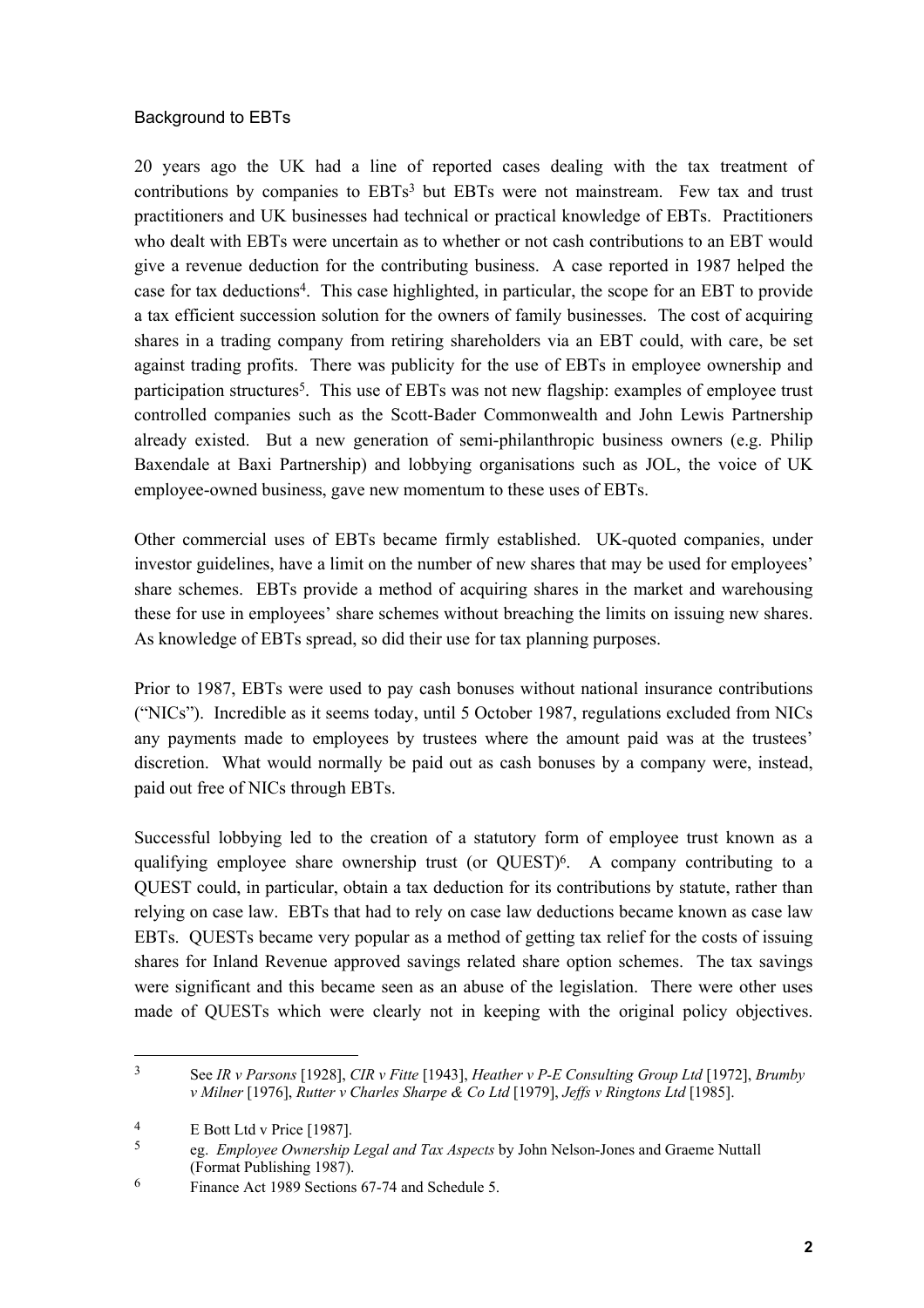### Background to EBTs

20 years ago the UK had a line of reported cases dealing with the tax treatment of contributions by companies to EBTs<sup>3</sup> but EBTs were not mainstream. Few tax and trust practitioners and UK businesses had technical or practical knowledge of EBTs. Practitioners who dealt with EBTs were uncertain as to whether or not cash contributions to an EBT would give a revenue deduction for the contributing business. A case reported in 1987 helped the case for tax deductions4. This case highlighted, in particular, the scope for an EBT to provide a tax efficient succession solution for the owners of family businesses. The cost of acquiring shares in a trading company from retiring shareholders via an EBT could, with care, be set against trading profits. There was publicity for the use of EBTs in employee ownership and participation structures<sup>5</sup>. This use of EBTs was not new flagship: examples of employee trust controlled companies such as the Scott-Bader Commonwealth and John Lewis Partnership already existed. But a new generation of semi-philanthropic business owners (e.g. Philip Baxendale at Baxi Partnership) and lobbying organisations such as JOL, the voice of UK employee-owned business, gave new momentum to these uses of EBTs.

Other commercial uses of EBTs became firmly established. UK-quoted companies, under investor guidelines, have a limit on the number of new shares that may be used for employees' share schemes. EBTs provide a method of acquiring shares in the market and warehousing these for use in employees' share schemes without breaching the limits on issuing new shares. As knowledge of EBTs spread, so did their use for tax planning purposes.

Prior to 1987, EBTs were used to pay cash bonuses without national insurance contributions ("NICs"). Incredible as it seems today, until 5 October 1987, regulations excluded from NICs any payments made to employees by trustees where the amount paid was at the trustees' discretion. What would normally be paid out as cash bonuses by a company were, instead, paid out free of NICs through EBTs.

Successful lobbying led to the creation of a statutory form of employee trust known as a qualifying employee share ownership trust (or QUEST)6. A company contributing to a QUEST could, in particular, obtain a tax deduction for its contributions by statute, rather than relying on case law. EBTs that had to rely on case law deductions became known as case law EBTs. QUESTs became very popular as a method of getting tax relief for the costs of issuing shares for Inland Revenue approved savings related share option schemes. The tax savings were significant and this became seen as an abuse of the legislation. There were other uses made of QUESTs which were clearly not in keeping with the original policy objectives.

<sup>3</sup> See *IR v Parsons* [1928], *CIR v Fitte* [1943], *Heather v P-E Consulting Group Ltd* [1972], *Brumby v Milner* [1976], *Rutter v Charles Sharpe & Co Ltd* [1979], *Jeffs v Ringtons Ltd* [1985].

 $\frac{4}{5}$  E Bott Ltd v Price [1987].

<sup>5</sup> eg. *Employee Ownership Legal and Tax Aspects* by John Nelson-Jones and Graeme Nuttall (Format Publishing 1987).

<sup>6</sup> Finance Act 1989 Sections 67-74 and Schedule 5.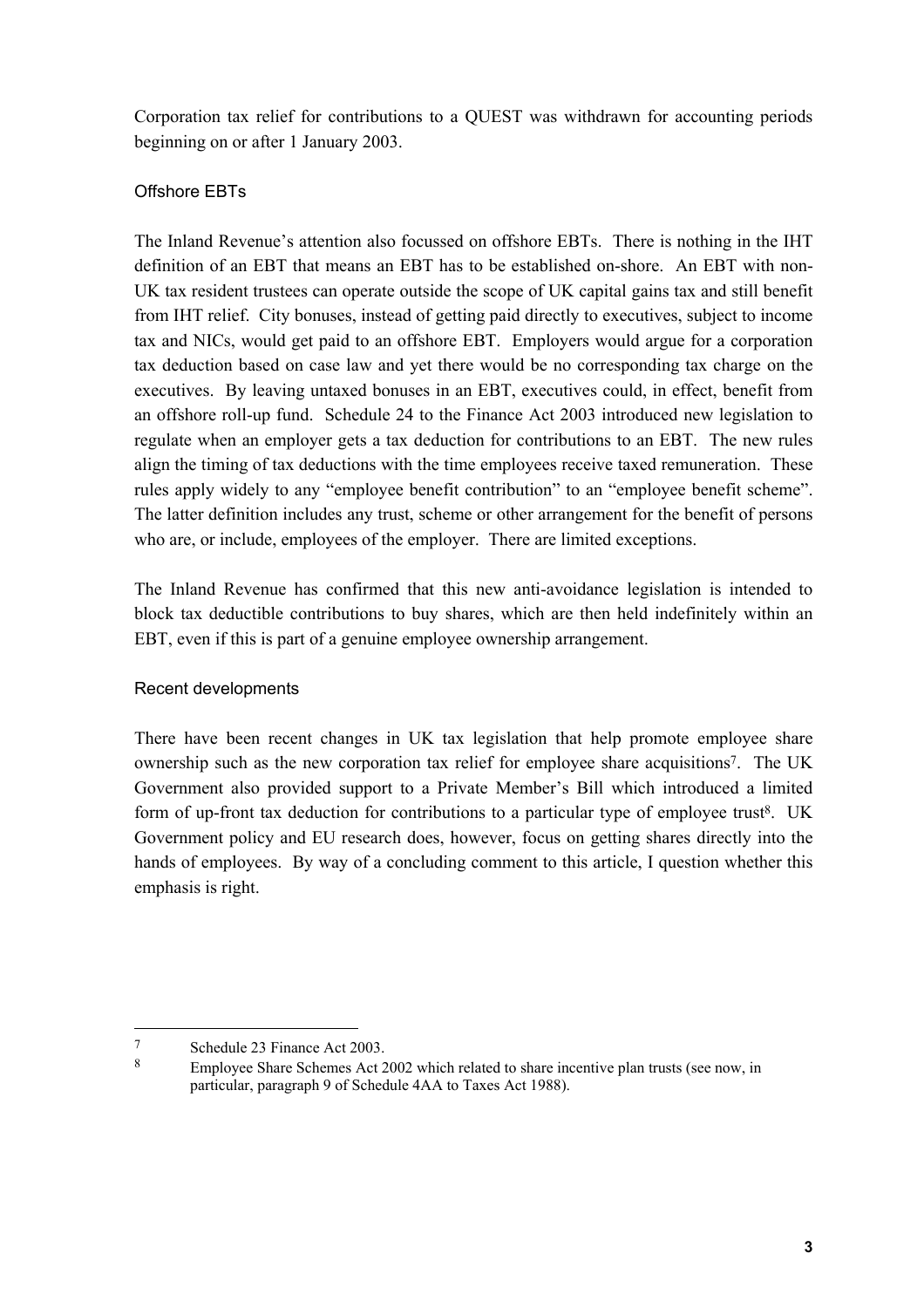Corporation tax relief for contributions to a QUEST was withdrawn for accounting periods beginning on or after 1 January 2003.

## Offshore EBTs

The Inland Revenue's attention also focussed on offshore EBTs. There is nothing in the IHT definition of an EBT that means an EBT has to be established on-shore. An EBT with non-UK tax resident trustees can operate outside the scope of UK capital gains tax and still benefit from IHT relief. City bonuses, instead of getting paid directly to executives, subject to income tax and NICs, would get paid to an offshore EBT. Employers would argue for a corporation tax deduction based on case law and yet there would be no corresponding tax charge on the executives. By leaving untaxed bonuses in an EBT, executives could, in effect, benefit from an offshore roll-up fund. Schedule 24 to the Finance Act 2003 introduced new legislation to regulate when an employer gets a tax deduction for contributions to an EBT. The new rules align the timing of tax deductions with the time employees receive taxed remuneration. These rules apply widely to any "employee benefit contribution" to an "employee benefit scheme". The latter definition includes any trust, scheme or other arrangement for the benefit of persons who are, or include, employees of the employer. There are limited exceptions.

The Inland Revenue has confirmed that this new anti-avoidance legislation is intended to block tax deductible contributions to buy shares, which are then held indefinitely within an EBT, even if this is part of a genuine employee ownership arrangement.

### Recent developments

There have been recent changes in UK tax legislation that help promote employee share ownership such as the new corporation tax relief for employee share acquisitions7. The UK Government also provided support to a Private Member's Bill which introduced a limited form of up-front tax deduction for contributions to a particular type of employee trust<sup>8</sup>. UK Government policy and EU research does, however, focus on getting shares directly into the hands of employees. By way of a concluding comment to this article, I question whether this emphasis is right.

<sup>7</sup> Schedule 23 Finance Act 2003.<br>8 Employee Share Schemes Act 2

Employee Share Schemes Act 2002 which related to share incentive plan trusts (see now, in particular, paragraph 9 of Schedule 4AA to Taxes Act 1988).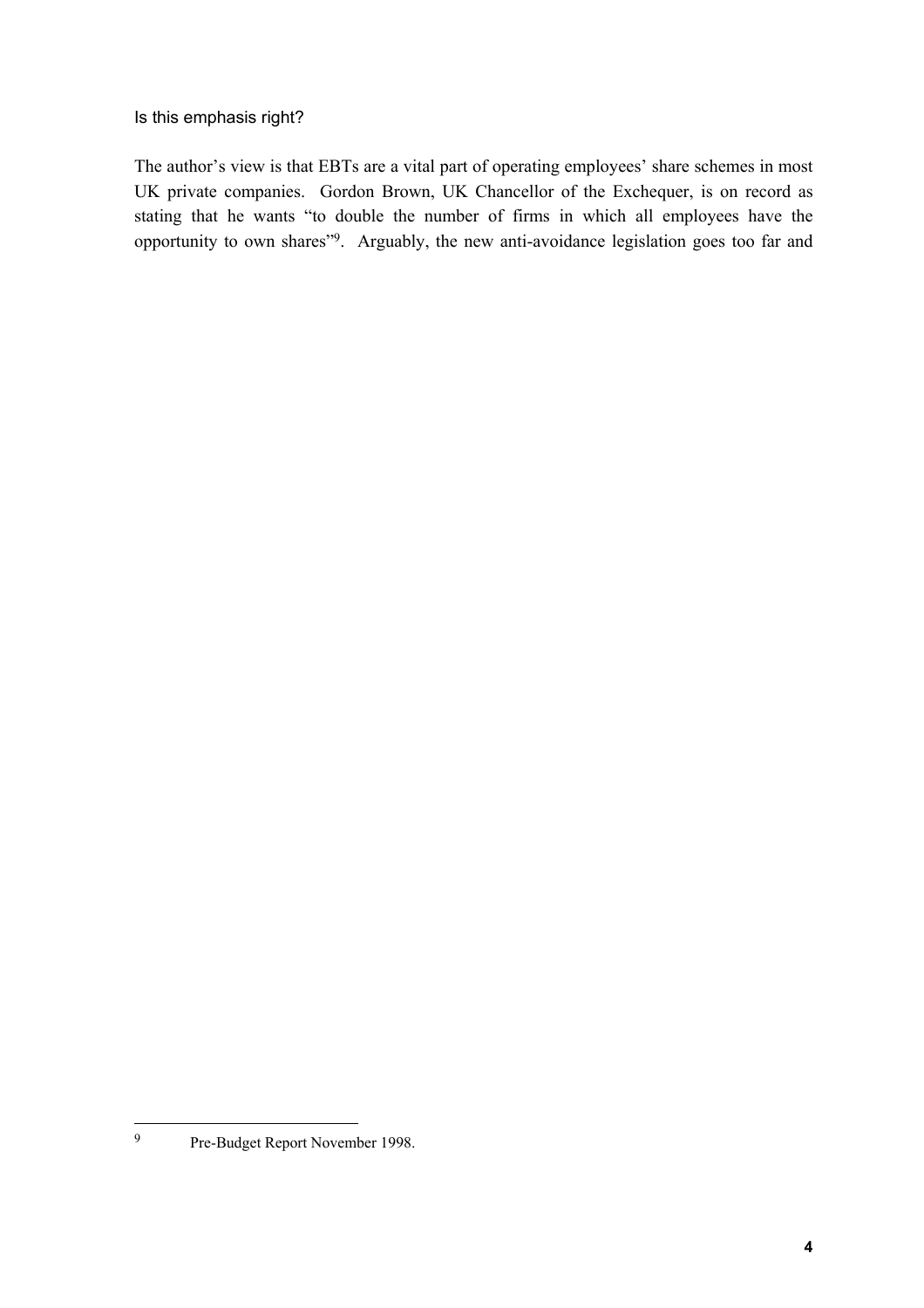Is this emphasis right?

The author's view is that EBTs are a vital part of operating employees' share schemes in most UK private companies. Gordon Brown, UK Chancellor of the Exchequer, is on record as stating that he wants "to double the number of firms in which all employees have the opportunity to own shares"9. Arguably, the new anti-avoidance legislation goes too far and

 $\overline{9}$ 9 Pre-Budget Report November 1998.